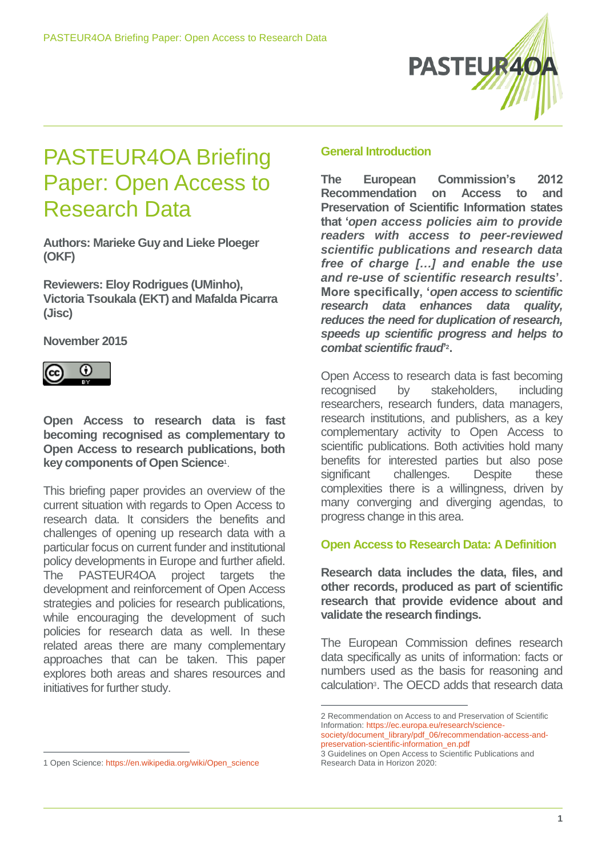

# PASTEUR4OA Briefing Paper: Open Access to Research Data

**Authors: Marieke Guy and Lieke Ploeger (OKF)**

**Reviewers: Eloy Rodrigues (UMinho), Victoria Tsoukala (EKT) and Mafalda Picarra (Jisc)**

**November 2015**



**Open Access to research data is fast becoming recognised as complementary to Open Access to research publications, both key components of Open Science**<sup>1</sup> .

This briefing paper provides an overview of the current situation with regards to Open Access to research data. It considers the benefits and challenges of opening up research data with a particular focus on current funder and institutional policy developments in Europe and further afield. The PASTEUR4OA project targets the development and reinforcement of Open Access strategies and policies for research publications, while encouraging the development of such policies for research data as well. In these related areas there are many complementary approaches that can be taken. This paper explores both areas and shares resources and initiatives for further study.

## **General Introduction**

**The European Commission's 2012 Recommendation on Access to and Preservation of Scientific Information states that '***open access policies aim to provide readers with access to peer-reviewed scientific publications and research data free of charge […] and enable the use and re-use of scientific research results***'. More specifically, '***open access to scientific research data enhances data quality, reduces the need for duplication of research, speeds up scientific progress and helps to combat scientific fraud***' 2 .**

Open Access to research data is fast becoming recognised by stakeholders, including researchers, research funders, data managers, research institutions, and publishers, as a key complementary activity to Open Access to scientific publications. Both activities hold many benefits for interested parties but also pose significant challenges. Despite these complexities there is a willingness, driven by many converging and diverging agendas, to progress change in this area.

# **Open Access to Research Data: A Definition**

**Research data includes the data, files, and other records, produced as part of scientific research that provide evidence about and validate the research findings.**

The European Commission defines research data specifically as units of information: facts or numbers used as the basis for reasoning and calculation<sup>3</sup> . The OECD adds that research data

1

<sup>2</sup> Recommendation on Access to and Preservation of Scientific Information: [https://ec.europa.eu/research/science](https://ec.europa.eu/research/science-society/document_library/pdf_06/recommendation-access-and-preservation-scientific-information_en.pdf)[society/document\\_library/pdf\\_06/recommendation-access-and](https://ec.europa.eu/research/science-society/document_library/pdf_06/recommendation-access-and-preservation-scientific-information_en.pdf)[preservation-scientific-information\\_en.pdf](https://ec.europa.eu/research/science-society/document_library/pdf_06/recommendation-access-and-preservation-scientific-information_en.pdf)

<sup>3</sup> Guidelines on Open Access to Scientific Publications and Research Data in Horizon 2020:

 $\overline{a}$ 1 Open Science: [https://en.wikipedia.org/wiki/Open\\_science](https://en.wikipedia.org/wiki/Open_science)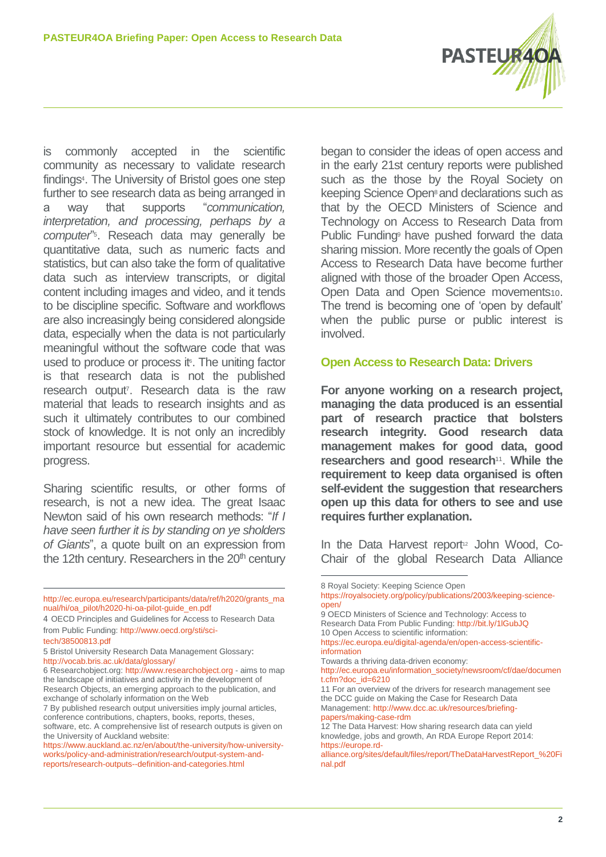

is commonly accepted in the scientific community as necessary to validate research findings<sup>4</sup>. The University of Bristol goes one step further to see research data as being arranged in a way that supports "*communication, interpretation, and processing, perhaps by a computer*" 5 . Reseach data may generally be quantitative data, such as numeric facts and statistics, but can also take the form of qualitative data such as interview transcripts, or digital content including images and video, and it tends to be discipline specific. Software and workflows are also increasingly being considered alongside data, especially when the data is not particularly meaningful without the software code that was used to produce or process it f. The uniting factor is that research data is not the published research output<sup>7</sup> . Research data is the raw material that leads to research insights and as such it ultimately contributes to our combined stock of knowledge. It is not only an incredibly important resource but essential for academic progress.

Sharing scientific results, or other forms of research, is not a new idea. The great Isaac Newton said of his own research methods: "*If I have seen further it is by standing on ye sholders of Giants*", a quote built on an expression from the 12th century. Researchers in the  $20<sup>th</sup>$  century

4 OECD Principles and Guidelines for Access to Research Data from Public Funding: [http://www.oecd.org/sti/sci-](http://www.oecd.org/sti/sci-tech/38500813.pdf)

6 Researchobject.org: [http://www.researchobject.org](http://www.researchobject.org/) - aims to map the landscape of initiatives and activity in the development of Research Objects, an emerging approach to the publication, and exchange of scholarly information on the Web

began to consider the ideas of open access and in the early 21st century reports were published such as the those by the Royal Society on keeping Science Open<sup>8</sup> and declarations such as that by the OECD Ministers of Science and Technology on Access to Research Data from Public Funding<sup>9</sup> have pushed forward the data sharing mission. More recently the goals of Open Access to Research Data have become further aligned with those of the broader Open Access, Open Data and Open Science movements10. The trend is becoming one of 'open by default' when the public purse or public interest is involved.

## **Open Access to Research Data: Drivers**

**For anyone working on a research project, managing the data produced is an essential part of research practice that bolsters research integrity. Good research data management makes for good data, good researchers and good research**<sup>11</sup> . **While the requirement to keep data organised is often self-evident the suggestion that researchers open up this data for others to see and use requires further explanation.** 

In the Data Harvest report<sup>12</sup> John Wood, Co-Chair of the global Research Data Alliance

1

Towards a thriving data-driven economy:

11 For an overview of the drivers for research management see the DCC guide on Making the Case for Research Data Management[: http://www.dcc.ac.uk/resources/briefing](http://www.dcc.ac.uk/resources/briefing-papers/making-case-rdm)[papers/making-case-rdm](http://www.dcc.ac.uk/resources/briefing-papers/making-case-rdm)

 $\overline{a}$ [http://ec.europa.eu/research/participants/data/ref/h2020/grants\\_ma](http://ec.europa.eu/research/participants/data/ref/h2020/grants_manual/hi/oa_pilot/h2020-hi-oa-pilot-guide_en.pdf) [nual/hi/oa\\_pilot/h2020-hi-oa-pilot-guide\\_en.pdf](http://ec.europa.eu/research/participants/data/ref/h2020/grants_manual/hi/oa_pilot/h2020-hi-oa-pilot-guide_en.pdf)

[tech/38500813.pdf](http://www.oecd.org/sti/sci-tech/38500813.pdf)

<sup>5</sup> Bristol University Research Data Management Glossary: <http://vocab.bris.ac.uk/data/glossary/>

<sup>7</sup> By published research output universities imply journal articles, conference contributions, chapters, books, reports, theses, software, etc. A comprehensive list of research outputs is given on the University of Auckland website:

[https://www.auckland.ac.nz/en/about/the-university/how-university](https://www.auckland.ac.nz/en/about/the-university/how-university-works/policy-and-administration/research/output-system-and-reports/research-outputs--definition-and-categories.html)[works/policy-and-administration/research/output-system-and](https://www.auckland.ac.nz/en/about/the-university/how-university-works/policy-and-administration/research/output-system-and-reports/research-outputs--definition-and-categories.html)[reports/research-outputs--definition-and-categories.html](https://www.auckland.ac.nz/en/about/the-university/how-university-works/policy-and-administration/research/output-system-and-reports/research-outputs--definition-and-categories.html)

<sup>8</sup> Royal Society: Keeping Science Open

[https://royalsociety.org/policy/publications/2003/keeping-science](https://royalsociety.org/policy/publications/2003/keeping-science-open/)[open/](https://royalsociety.org/policy/publications/2003/keeping-science-open/)

<sup>9</sup> OECD Ministers of Science and Technology: Access to Research Data From Public Funding: <http://bit.ly/1lGubJQ> 10 Open Access to scientific information:

[https://ec.europa.eu/digital-agenda/en/open-access-scientific](https://ec.europa.eu/digital-agenda/en/open-access-scientific-information)[information](https://ec.europa.eu/digital-agenda/en/open-access-scientific-information) 

[http://ec.europa.eu/information\\_society/newsroom/cf/dae/documen](http://ec.europa.eu/information_society/newsroom/cf/dae/document.cfm?doc_id=6210) [t.cfm?doc\\_id=6210](http://ec.europa.eu/information_society/newsroom/cf/dae/document.cfm?doc_id=6210)

<sup>12</sup> The Data Harvest: How sharing research data can yield knowledge, jobs and growth, An RDA Europe Report 2014: https://europe.rd-

alliance.org/sites/default/files/report/TheDataHarvestReport\_%20Fi nal.pdf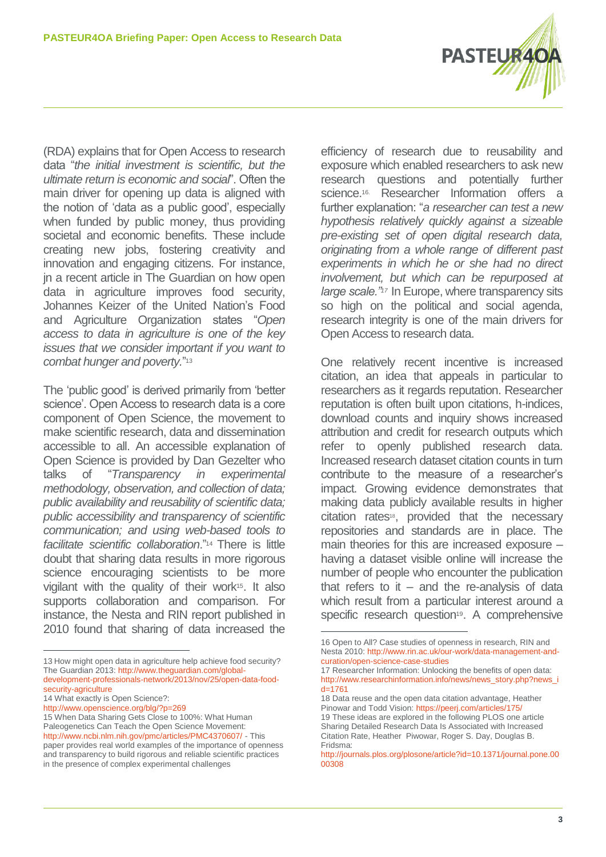

(RDA) explains that for Open Access to research data "*the initial investment is scientific, but the ultimate return is economic and social*". Often the main driver for opening up data is aligned with the notion of 'data as a public good', especially when funded by public money, thus providing societal and economic benefits. These include creating new jobs, fostering creativity and innovation and engaging citizens. For instance, jn a recent article in The Guardian on how open data in agriculture improves food security, Johannes Keizer of the United Nation's Food and Agriculture Organization states "*Open access to data in agriculture is one of the key issues that we consider important if you want to combat hunger and poverty.*" 13

The 'public good' is derived primarily from 'better science'. Open Access to research data is a core component of Open Science, the movement to make scientific research, data and dissemination accessible to all. An accessible explanation of Open Science is provided by Dan Gezelter who talks of "*Transparency in experimental methodology, observation, and collection of data; public availability and reusability of scientific data; public accessibility and transparency of scientific communication; and using web-based tools to facilitate scientific collaboration*."<sup>14</sup> There is little doubt that sharing data results in more rigorous science encouraging scientists to be more vigilant with the quality of their work<sup>15</sup>. It also supports collaboration and comparison. For instance, the Nesta and RIN report published in 2010 found that sharing of data increased the

efficiency of research due to reusability and exposure which enabled researchers to ask new research questions and potentially further science. <sup>16</sup>. Researcher Information offers a further explanation: "*a researcher can test a new hypothesis relatively quickly against a sizeable pre-existing set of open digital research data, originating from a whole range of different past experiments in which he or she had no direct involvement, but which can be repurposed at large scale."<sup>17</sup>* In Europe, where transparency sits so high on the political and social agenda, research integrity is one of the main drivers for Open Access to research data.

One relatively recent incentive is increased citation, an idea that appeals in particular to researchers as it regards reputation. Researcher reputation is often built upon citations, h-indices, download counts and inquiry shows increased attribution and credit for research outputs which refer to openly published research data. Increased research dataset citation counts in turn contribute to the measure of a researcher's impact. Growing evidence demonstrates that making data publicly available results in higher citation rates<sup>18</sup>, provided that the necessary repositories and standards are in place. The main theories for this are increased exposure – having a dataset visible online will increase the number of people who encounter the publication that refers to it  $-$  and the re-analysis of data which result from a particular interest around a specific research question<sup>19</sup>. A comprehensive

 $\overline{a}$ 13 How might open data in agriculture help achieve food security? The Guardian 2013: [http://www.theguardian.com/global](http://www.theguardian.com/global-development-professionals-network/2013/nov/25/open-data-food-security-agriculture)[development-professionals-network/2013/nov/25/open-data-food-](http://www.theguardian.com/global-development-professionals-network/2013/nov/25/open-data-food-security-agriculture)

[security-agriculture](http://www.theguardian.com/global-development-professionals-network/2013/nov/25/open-data-food-security-agriculture)

<sup>14</sup> What exactly is Open Science?:

<http://www.openscience.org/blg/?p=269>

<sup>15</sup> When Data Sharing Gets Close to 100%: What Human Paleogenetics Can Teach the Open Science Movement: <http://www.ncbi.nlm.nih.gov/pmc/articles/PMC4370607/> - This paper provides real world examples of the importance of openness and transparency to build rigorous and reliable scientific practices in the presence of complex experimental challenges

<sup>1</sup> 16 Open to All? Case studies of openness in research, RIN and Nesta 2010: [http://www.rin.ac.uk/our-work/data-management-and](http://www.rin.ac.uk/our-work/data-management-and-curation/open-science-case-studies)[curation/open-science-case-studies](http://www.rin.ac.uk/our-work/data-management-and-curation/open-science-case-studies)

<sup>17</sup> Researcher Information: Unlocking the benefits of open data: [http://www.researchinformation.info/news/news\\_story.php?news\\_i](http://www.researchinformation.info/news/news_story.php?news_id=1761)  $d=1761$ 

<sup>18</sup> Data reuse and the open data citation advantage, Heather Pinowar and Todd Vision[: https://peerj.com/articles/175/](https://peerj.com/articles/175/) 19 These ideas are explored in the following PLOS one article Sharing Detailed Research Data Is Associated with Increased Citation Rate, Heather Piwowar, Roger S. Day, Douglas B. Fridsma:

[http://journals.plos.org/plosone/article?id=10.1371/journal.pone.00](http://journals.plos.org/plosone/article?id=10.1371/journal.pone.0000308) [00308](http://journals.plos.org/plosone/article?id=10.1371/journal.pone.0000308)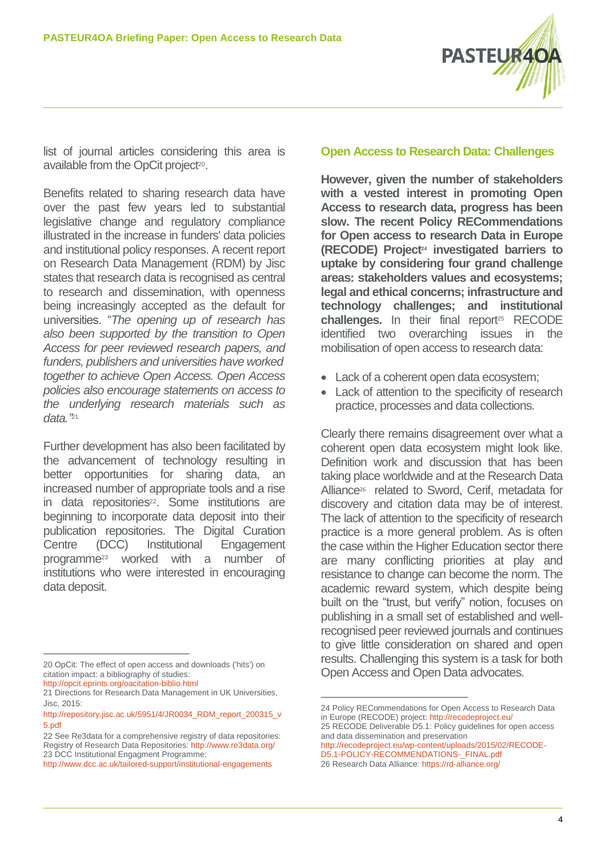

list of journal articles considering this area is available from the OpCit project<sup>20</sup>.

Benefits related to sharing research data have over the past few years led to substantial legislative change and regulatory compliance illustrated in the increase in funders' data policies and institutional policy responses. A recent report on Research Data Management (RDM) by Jisc states that research data is recognised as central to research and dissemination, with openness being increasingly accepted as the default for universities. "*The opening up of research has also been supported by the transition to Open Access for peer reviewed research papers, and funders, publishers and universities have worked together to achieve Open Access. Open Access policies also encourage statements on access to the underlying research materials such as data."* 21

Further development has also been facilitated by the advancement of technology resulting in better opportunities for sharing data, an increased number of appropriate tools and a rise in data repositories<sup>22</sup>. Some institutions are beginning to incorporate data deposit into their publication repositories. The Digital Curation Centre (DCC) Institutional Engagement programme<sup>23</sup> worked with a number of institutions who were interested in encouraging data deposit.

 $\overline{a}$ 20 OpCit: The effect of open access and downloads ('hits') on citation impact: a bibliography of studies:

<http://opcit.eprints.org/oacitation-biblio.html>

22 See Re3data for a comprehensive registry of data repositories: Registry of Research Data Repositories: <http://www.re3data.org/> 23 DCC Institutional Engagment Programme:

## **Open Access to Research Data: Challenges**

**However, given the number of stakeholders with a vested interest in promoting Open Access to research data, progress has been slow. The recent Policy RECommendations for Open access to research Data in Europe (RECODE) Project<sup>24</sup> investigated barriers to uptake by considering four grand challenge areas: stakeholders values and ecosystems; legal and ethical concerns; infrastructure and technology challenges; and institutional**  challenges. In their final report<sup>25</sup> RECODE identified two overarching issues in the mobilisation of open access to research data:

- Lack of a coherent open data ecosystem;
- Lack of attention to the specificity of research practice, processes and data collections.

Clearly there remains disagreement over what a coherent open data ecosystem might look like. Definition work and discussion that has been taking place worldwide and at the Research Data Alliance<sup>26</sup> related to Sword, Cerif, metadata for discovery and citation data may be of interest. The lack of attention to the specificity of research practice is a more general problem. As is often the case within the Higher Education sector there are many conflicting priorities at play and resistance to change can become the norm. The academic reward system, which despite being built on the "trust, but verify" notion, focuses on publishing in a small set of established and wellrecognised peer reviewed journals and continues to give little consideration on shared and open results. Challenging this system is a task for both Open Access and Open Data advocates.

and data dissemination and preservation [http://recodeproject.eu/wp-content/uploads/2015/02/RECODE-](http://recodeproject.eu/wp-content/uploads/2015/02/RECODE-D5.1-POLICY-RECOMMENDATIONS-_FINAL.pdf)D5.1-POLICY-RECOMMENDATIONS-FINAL.pdf

26 Research Data Alliance[: https://rd-alliance.org/](https://rd-alliance.org/)

1

<sup>21</sup> Directions for Research Data Management in UK Universities, Jisc, 2015:

[http://repository.jisc.ac.uk/5951/4/JR0034\\_RDM\\_report\\_200315\\_v](http://repository.jisc.ac.uk/5951/4/JR0034_RDM_report_200315_v5.pdf) [5.pdf](http://repository.jisc.ac.uk/5951/4/JR0034_RDM_report_200315_v5.pdf)

<http://www.dcc.ac.uk/tailored-support/institutional-engagements>

<sup>24</sup> Policy RECommendations for Open Access to Research Data in Europe (RECODE) project:<http://recodeproject.eu/> 25 RECODE Deliverable D5.1: Policy guidelines for open access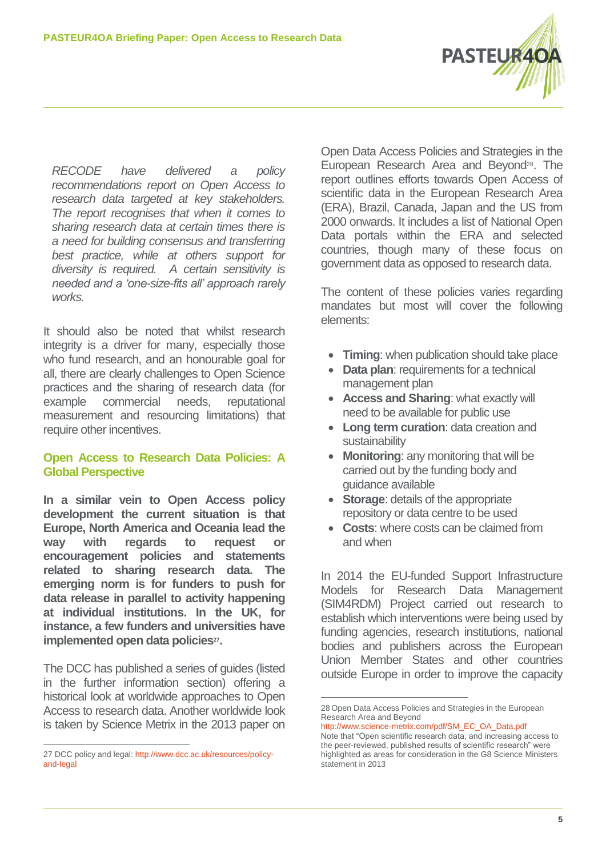

*RECODE have delivered a policy recommendations report on Open Access to research data targeted at key stakeholders. The report recognises that when it comes to sharing research data at certain times there is a need for building consensus and transferring best practice, while at others support for diversity is required. A certain sensitivity is needed and a 'one-size-fits all' approach rarely works.* 

It should also be noted that whilst research integrity is a driver for many, especially those who fund research, and an honourable goal for all, there are clearly challenges to Open Science practices and the sharing of research data (for example commercial needs, reputational measurement and resourcing limitations) that require other incentives.

# **Open Access to Research Data Policies: A Global Perspective**

**In a similar vein to Open Access policy development the current situation is that Europe, North America and Oceania lead the way with regards to request or encouragement policies and statements related to sharing research data. The emerging norm is for funders to push for data release in parallel to activity happening at individual institutions. In the UK, for instance, a few funders and universities have implemented open data policies<sup>27</sup> .**

The DCC has published a series of guides (listed in the further information section) offering a historical look at worldwide approaches to Open Access to research data. Another worldwide look is taken by Science Metrix in the 2013 paper on

 $\overline{a}$ 

Open Data Access Policies and Strategies in the European Research Area and Beyond<sup>28</sup>. The report outlines efforts towards Open Access of scientific data in the European Research Area (ERA), Brazil, Canada, Japan and the US from 2000 onwards. It includes a list of National Open Data portals within the ERA and selected countries, though many of these focus on government data as opposed to research data.

The content of these policies varies regarding mandates but most will cover the following elements:

- **Timing:** when publication should take place
- **Data plan**: requirements for a technical management plan
- **Access and Sharing**: what exactly will need to be available for public use
- **Long term curation**: data creation and sustainability
- **Monitoring**: any monitoring that will be carried out by the funding body and guidance available
- **Storage**: details of the appropriate repository or data centre to be used
- **Costs**: where costs can be claimed from and when

In 2014 the EU-funded Support Infrastructure Models for Research Data Management (SIM4RDM) Project carried out research to establish which interventions were being used by funding agencies, research institutions, national bodies and publishers across the European Union Member States and other countries outside Europe in order to improve the capacity

1

<sup>27</sup> DCC policy and legal: [http://www.dcc.ac.uk/resources/policy](http://www.dcc.ac.uk/resources/policy-and-legal)[and-legal](http://www.dcc.ac.uk/resources/policy-and-legal)

<sup>28</sup> Open Data Access Policies and Strategies in the European Research Area and Beyond

[http://www.science-metrix.com/pdf/SM\\_EC\\_OA\\_Data.pdf](http://www.science-metrix.com/pdf/SM_EC_OA_Data.pdf) Note that "Open scientific research data, and increasing access to the peer-reviewed, published results of scientific research" were highlighted as areas for consideration in the G8 Science Ministers statement in 2013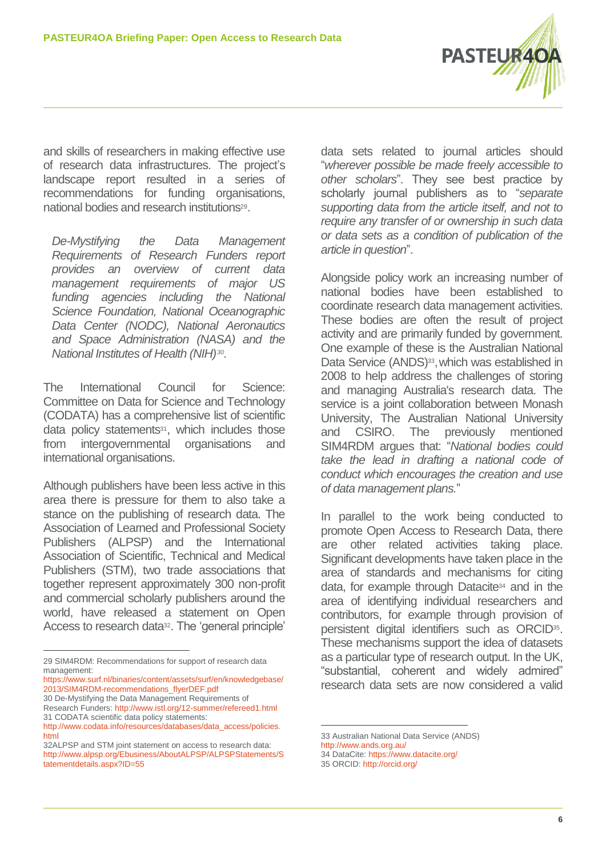

and skills of researchers in making effective use of research data infrastructures. The project's landscape report resulted in a series of recommendations for funding organisations, national bodies and research institutions<sup>29</sup>.

*De-Mystifying the Data Management Requirements of Research Funders report provides an overview of current data management requirements of major US funding agencies including the National Science Foundation, National Oceanographic Data Center (NODC), National Aeronautics and Space Administration (NASA) and the National Institutes of Health (NIH)<sup>30</sup> .*

The International Council for Science: Committee on Data for Science and Technology (CODATA) has a comprehensive list of scientific data policy statements<sup>31</sup>, which includes those from intergovernmental organisations and international organisations.

Although publishers have been less active in this area there is pressure for them to also take a stance on the publishing of research data. The Association of Learned and Professional Society Publishers (ALPSP) and the International Association of Scientific, Technical and Medical Publishers (STM), two trade associations that together represent approximately 300 non-profit and commercial scholarly publishers around the world, have released a statement on Open Access to research data<sup>32</sup>. The 'general principle' data sets related to journal articles should "*wherever possible be made freely accessible to other scholars*". They see best practice by scholarly journal publishers as to "*separate supporting data from the article itself, and not to require any transfer of or ownership in such data or data sets as a condition of publication of the article in question*".

Alongside policy work an increasing number of national bodies have been established to coordinate research data management activities. These bodies are often the result of project activity and are primarily funded by government. One example of these is the Australian National Data Service (ANDS)<sup>33</sup>, which was established in 2008 to help address the challenges of storing and managing Australia's research data. The service is a joint collaboration between Monash University, The Australian National University and CSIRO. The previously mentioned SIM4RDM argues that: "*National bodies could take the lead in drafting a national code of conduct which encourages the creation and use of data management plans.*"

In parallel to the work being conducted to promote Open Access to Research Data, there are other related activities taking place. Significant developments have taken place in the area of standards and mechanisms for citing data, for example through Datacite<sup>34</sup> and in the area of identifying individual researchers and contributors, for example through provision of persistent digital identifiers such as ORCID<sup>35</sup> . These mechanisms support the idea of datasets as a particular type of research output. In the UK, "substantial, coherent and widely admired" research data sets are now considered a valid

1

34 DataCite:<https://www.datacite.org/>

 $\overline{a}$ 29 SIM4RDM: Recommendations for support of research data management:

[https://www.surf.nl/binaries/content/assets/surf/en/knowledgebase/](https://www.surf.nl/binaries/content/assets/surf/en/knowledgebase/2013/SIM4RDM-recommendations_flyerDEF.pdf) [2013/SIM4RDM-recommendations\\_flyerDEF.pdf](https://www.surf.nl/binaries/content/assets/surf/en/knowledgebase/2013/SIM4RDM-recommendations_flyerDEF.pdf)

<sup>30</sup> De-Mystifying the Data Management Requirements of Research Funders:<http://www.istl.org/12-summer/refereed1.html>

<sup>31</sup> CODATA scientific data policy statements: [http://www.codata.info/resources/databases/data\\_access/policies.](http://www.codata.info/resources/databases/data_access/policies.html) [html](http://www.codata.info/resources/databases/data_access/policies.html)

<sup>32</sup>ALPSP and STM joint statement on access to research data: [http://www.alpsp.org/Ebusiness/AboutALPSP/ALPSPStatements/S](http://www.alpsp.org/Ebusiness/AboutALPSP/ALPSPStatements/Statementdetails.aspx?ID=55) [tatementdetails.aspx?ID=55](http://www.alpsp.org/Ebusiness/AboutALPSP/ALPSPStatements/Statementdetails.aspx?ID=55)

<sup>33</sup> Australian National Data Service (ANDS)

<http://www.ands.org.au/>

<sup>35</sup> ORCID: http://orcid.org/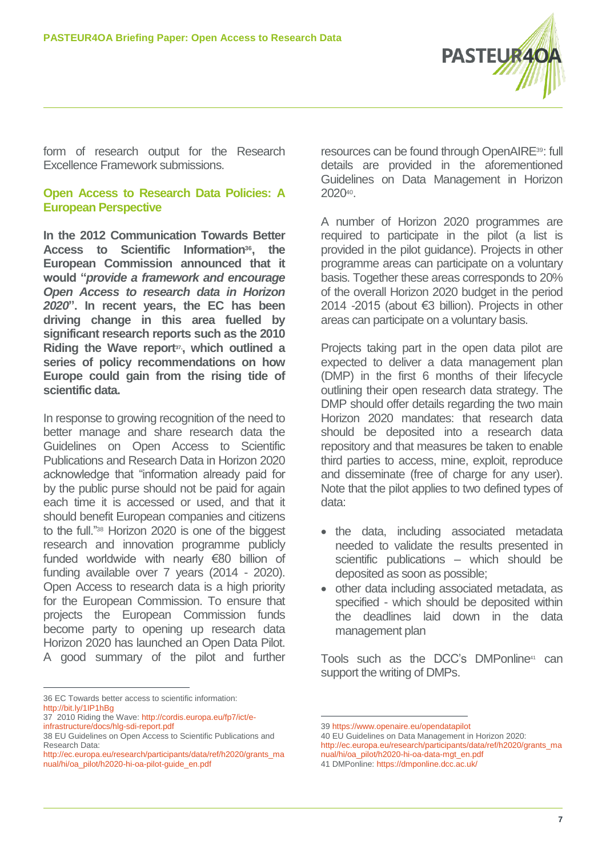

form of research output for the Research Excellence Framework submissions.

# **Open Access to Research Data Policies: A European Perspective**

**In the 2012 Communication Towards Better Access to Scientific Information<sup>36</sup> , the European Commission announced that it would "***provide a framework and encourage Open Access to research data in Horizon 2020***". In recent years, the EC has been driving change in this area fuelled by significant research reports such as the 2010 Riding the Wave report37, , which outlined a series of policy recommendations on how Europe could gain from the rising tide of scientific data.** 

In response to growing recognition of the need to better manage and share research data the Guidelines on Open Access to Scientific Publications and Research Data in Horizon 2020 acknowledge that "information already paid for by the public purse should not be paid for again each time it is accessed or used, and that it should benefit European companies and citizens to the full."<sup>38</sup> Horizon 2020 is one of the biggest research and innovation programme publicly funded worldwide with nearly €80 billion of funding available over 7 years (2014 - 2020). Open Access to research data is a high priority for the European Commission. To ensure that projects the European Commission funds become party to opening up research data Horizon 2020 has launched an Open Data Pilot. A good summary of the pilot and further

 $\overline{a}$ 36 EC Towards better access to scientific information: <http://bit.ly/1IP1hBg>

resources can be found through OpenAIRE39: full details are provided in the aforementioned Guidelines on Data Management in Horizon 2020<sup>40</sup> .

A number of Horizon 2020 programmes are required to participate in the pilot (a list is provided in the pilot guidance). Projects in other programme areas can participate on a voluntary basis. Together these areas corresponds to 20% of the overall Horizon 2020 budget in the period 2014 -2015 (about €3 billion). Projects in other areas can participate on a voluntary basis.

Projects taking part in the open data pilot are expected to deliver a data management plan (DMP) in the first 6 months of their lifecycle outlining their open research data strategy. The DMP should offer details regarding the two main Horizon 2020 mandates: that research data should be deposited into a research data repository and that measures be taken to enable third parties to access, mine, exploit, reproduce and disseminate (free of charge for any user). Note that the pilot applies to two defined types of data:

- the data, including associated metadata needed to validate the results presented in scientific publications – which should be deposited as soon as possible;
- other data including associated metadata, as specified - which should be deposited within the deadlines laid down in the data management plan

Tools such as the DCC's DMPonline<sup>41</sup> can support the writing of DMPs.

1

[http://ec.europa.eu/research/participants/data/ref/h2020/grants\\_ma](http://ec.europa.eu/research/participants/data/ref/h2020/grants_manual/hi/oa_pilot/h2020-hi-oa-data-mgt_en.pdf) [nual/hi/oa\\_pilot/h2020-hi-oa-data-mgt\\_en.pdf](http://ec.europa.eu/research/participants/data/ref/h2020/grants_manual/hi/oa_pilot/h2020-hi-oa-data-mgt_en.pdf) 41 DMPonline:<https://dmponline.dcc.ac.uk/>

<sup>37</sup> 2010 Riding the Wave: [http://cordis.europa.eu/fp7/ict/e](http://cordis.europa.eu/fp7/ict/e-infrastructure/docs/hlg-sdi-report.pdf)[infrastructure/docs/hlg-sdi-report.pdf](http://cordis.europa.eu/fp7/ict/e-infrastructure/docs/hlg-sdi-report.pdf)

<sup>38</sup> EU Guidelines on Open Access to Scientific Publications and Research Data:

[http://ec.europa.eu/research/participants/data/ref/h2020/grants\\_ma](http://ec.europa.eu/research/participants/data/ref/h2020/grants_manual/hi/oa_pilot/h2020-hi-oa-pilot-guide_en.pdf) [nual/hi/oa\\_pilot/h2020-hi-oa-pilot-guide\\_en.pdf](http://ec.europa.eu/research/participants/data/ref/h2020/grants_manual/hi/oa_pilot/h2020-hi-oa-pilot-guide_en.pdf)

<sup>39</sup> <https://www.openaire.eu/opendatapilot>

<sup>40</sup> EU Guidelines on Data Management in Horizon 2020: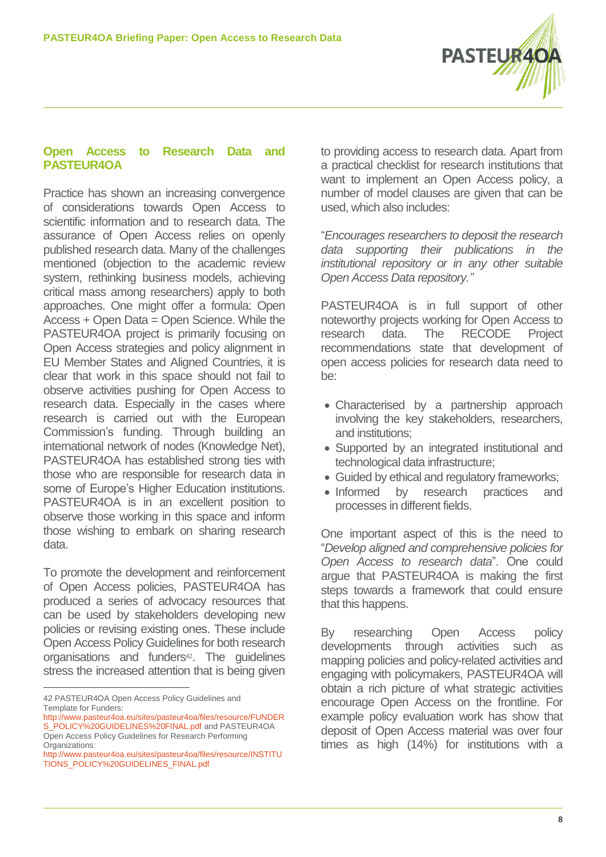

## **Open Access to Research Data and PASTEUR4OA**

Practice has shown an increasing convergence of considerations towards Open Access to scientific information and to research data. The assurance of Open Access relies on openly published research data. Many of the challenges mentioned (objection to the academic review system, rethinking business models, achieving critical mass among researchers) apply to both approaches. One might offer a formula: Open Access + Open Data = Open Science. While the PASTEUR4OA project is primarily focusing on Open Access strategies and policy alignment in EU Member States and Aligned Countries, it is clear that work in this space should not fail to observe activities pushing for Open Access to research data. Especially in the cases where research is carried out with the European Commission's funding. Through building an international network of nodes (Knowledge Net), PASTEUR4OA has established strong ties with those who are responsible for research data in some of Europe's Higher Education institutions. PASTEUR4OA is in an excellent position to observe those working in this space and inform those wishing to embark on sharing research data.

To promote the development and reinforcement of Open Access policies, PASTEUR4OA has produced a series of advocacy resources that can be used by stakeholders developing new policies or revising existing ones. These include Open Access Policy Guidelines for both research organisations and funders<sup>42</sup>. The guidelines stress the increased attention that is being given

42 PASTEUR4OA Open Access Policy Guidelines and Template for Funders:

 $\overline{a}$ 

to providing access to research data. Apart from a practical checklist for research institutions that want to implement an Open Access policy, a number of model clauses are given that can be used, which also includes:

"*Encourages researchers to deposit the research data supporting their publications in the institutional repository or in any other suitable Open Access Data repository."*

PASTEUR4OA is in full support of other noteworthy projects working for Open Access to research data. The RECODE Project recommendations state that development of open access policies for research data need to be:

- Characterised by a partnership approach involving the key stakeholders, researchers, and institutions;
- Supported by an integrated institutional and technological data infrastructure;
- Guided by ethical and regulatory frameworks;
- Informed by research practices and processes in different fields.

One important aspect of this is the need to "*Develop aligned and comprehensive policies for Open Access to research data*". One could argue that PASTEUR4OA is making the first steps towards a framework that could ensure that this happens.

By researching Open Access policy developments through activities such as mapping policies and policy-related activities and engaging with policymakers, PASTEUR4OA will obtain a rich picture of what strategic activities encourage Open Access on the frontline. For example policy evaluation work has show that deposit of Open Access material was over four times as high (14%) for institutions with a

[http://www.pasteur4oa.eu/sites/pasteur4oa/files/resource/FUNDER](http://www.pasteur4oa.eu/sites/pasteur4oa/files/resource/FUNDERS_POLICY%20GUIDELINES%20FINAL.pdf) [S\\_POLICY%20GUIDELINES%20FINAL.pdf](http://www.pasteur4oa.eu/sites/pasteur4oa/files/resource/FUNDERS_POLICY%20GUIDELINES%20FINAL.pdf) and PASTEUR4OA Open Access Policy Guidelines for Research Performing Organizations:

[http://www.pasteur4oa.eu/sites/pasteur4oa/files/resource/INSTITU](http://www.pasteur4oa.eu/sites/pasteur4oa/files/resource/INSTITUTIONS_POLICY%20GUIDELINES_FINAL.pdf) [TIONS\\_POLICY%20GUIDELINES\\_FINAL.pdf](http://www.pasteur4oa.eu/sites/pasteur4oa/files/resource/INSTITUTIONS_POLICY%20GUIDELINES_FINAL.pdf)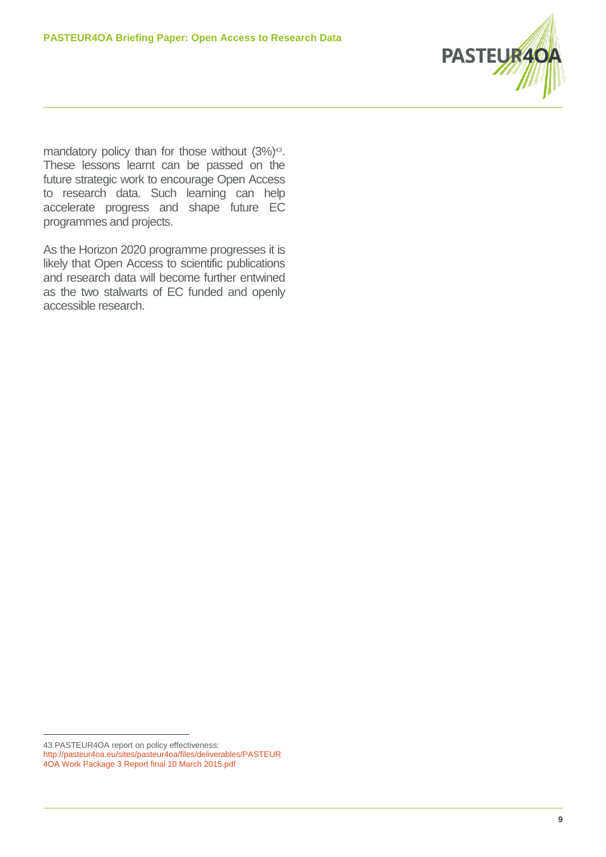

mandatory policy than for those without  $(3\%)$ <sup>43</sup>. These lessons learnt can be passed on the future strategic work to encourage Open Access to research data. Such learning can help accelerate progress and shape future EC programmes and projects.

As the Horizon 2020 programme progresses it is likely that Open Access to scientific publications and research data will become further entwined as the two stalwarts of EC funded and openly accessible research.

 $\overline{a}$ 43 PASTEUR4OA report on policy effectiveness:

[http://pasteur4oa.eu/sites/pasteur4oa/files/deliverables/PASTEUR](http://pasteur4oa.eu/sites/pasteur4oa/files/deliverables/PASTEUR4OA%20Work%20Package%203%20Report%20final%2010%20March%202015.pdf)

[<sup>4</sup>OA Work Package 3 Report final 10 March 2015.pdf](http://pasteur4oa.eu/sites/pasteur4oa/files/deliverables/PASTEUR4OA%20Work%20Package%203%20Report%20final%2010%20March%202015.pdf)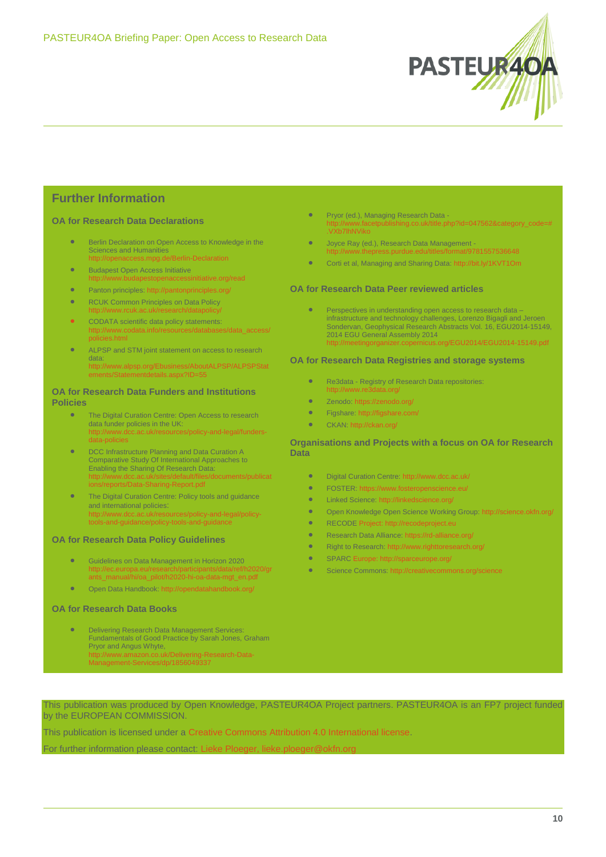

# **Further Information**

#### **OA for Research Data Declarations**

- **Berlin Declaration on Open Access to Knowledge in the** Sciences and Humanities <http://openaccess.mpg.de/Berlin-Declaration>
- **Budapest Open Access Initiative** http://www.budapestopenaccessinitiative.org/read
- Panton principles[: http://pantonprinciples.org/](http://pantonprinciples.org/)
- **RCUK Common Principles on Data Policy** <http://www.rcuk.ac.uk/research/datapolicy/>
- **•** CODATA scientific data policy statements: http://www.codata.info/resources/databases/data\_access/ policies.html
- ALPSP and STM joint statement on access to research data: [http://www.alpsp.org/Ebusiness/AboutALPSP/ALPSPStat](http://www.alpsp.org/Ebusiness/AboutALPSP/ALPSPStatements/Statementdetails.aspx?ID=55) [ements/Statementdetails.aspx?ID=55](http://www.alpsp.org/Ebusiness/AboutALPSP/ALPSPStatements/Statementdetails.aspx?ID=55)

### **OA for Research Data Funders and Institutions Policies**

- **The Digital Curation Centre: Open Access to research** data funder policies in the UK: [http://www.dcc.ac.uk/resources/policy-and-legal/funders](http://www.dcc.ac.uk/resources/policy-and-legal/funders-data-policies)[data-policies](http://www.dcc.ac.uk/resources/policy-and-legal/funders-data-policies)
- DCC Infrastructure Planning and Data Curation A Comparative Study Of International Approaches to Enabling the Sharing Of Research Data:<br>http://www.dcc.ac.uk/sites/default/files/documents/publicat ttp://www.dcc.ac.uk/sites/default ns/reports/Data-Sharing-Report.pdf
- The Digital Curation Centre: Policy tools and guidance and international policies: [http://www.dcc.ac.uk/resources/policy-and-legal/policy](http://www.dcc.ac.uk/resources/policy-and-legal/policy-tools-and-guidance/policy-tools-and-guidance)[tools-and-guidance/policy-tools-and-guidance](http://www.dcc.ac.uk/resources/policy-and-legal/policy-tools-and-guidance/policy-tools-and-guidance)

#### **OA for Research Data Policy Guidelines**

- Guidelines on Data Management in Horizon 2020 [http://ec.europa.eu/research/participants/data/ref/h2020/gr](http://ec.europa.eu/research/participants/data/ref/h2020/grants_manual/hi/oa_pilot/h2020-hi-oa-data-mgt_en.pdf) [ants\\_manual/hi/oa\\_pilot/h2020-hi-oa-data-mgt\\_en.pdf](http://ec.europa.eu/research/participants/data/ref/h2020/grants_manual/hi/oa_pilot/h2020-hi-oa-data-mgt_en.pdf)
- Open Data Handbook: <http://opendatahandbook.org/>

#### **OA for Research Data Books**

- Delivering Research Data Management Services: Fundamentals of Good Practice by Sarah Jones, Graham Pryor and Angus Whyte [http://www.amazon.co.uk/Delivering-Research-Data-](http://www.amazon.co.uk/Delivering-Research-Data-Management-Services/dp/1856049337)
	- [Management-Services/dp/1856049337](http://www.amazon.co.uk/Delivering-Research-Data-Management-Services/dp/1856049337)
- Pryor (ed.), Managing Research Data  [http://www.facetpublishing.co.uk/title.php?id=047562&category\\_code=#](../Downloads/%20http:/www.facetpublishing.co.uk/title.php%3fid=047562&category_code=#.VXb7lhNViko) [.VXb7lhNViko](../Downloads/%20http:/www.facetpublishing.co.uk/title.php%3fid=047562&category_code=#.VXb7lhNViko)
- Joyce Ray (ed.), Research Data Management <http://www.thepress.purdue.edu/titles/format/9781557536648>
- Corti et al, Managing and Sharing Data:<http://bit.ly/1KVT1Om>

#### **OA for Research Data Peer reviewed articles**

 Perspectives in understanding open access to research data – infrastructure and technology challenges, Lorenzo Bigagli and Jeroen Sondervan, Geophysical Research Abstracts Vol. 16, EGU2014-15149, 2014 EGU General Assembly 2014 <http://meetingorganizer.copernicus.org/EGU2014/EGU2014-15149.pdf>

#### **OA for Research Data Registries and storage systems**

- **Re3data Registry of Research Data repositories:** <http://www.re3data.org/>
- Zenodo[: https://zenodo.org/](https://zenodo.org/)
- Figshare[: http://figshare.com/](http://figshare.com/)
- **CKAN: <http://ckan.org/>**

#### **Organisations and Projects with a focus on OA for Research Data**

- Digital Curation Centre: <http://www.dcc.ac.uk/>
- FOSTER[: https://www.fosteropenscience.eu/](https://www.fosteropenscience.eu/)
- **C** Linked Science[: http://linkedscience.org/](http://linkedscience.org/)
- Open Knowledge Open Science Working Group[: http://science.okfn.org/](http://science.okfn.org/)
- RECODE Project[: http://recodeproject.eu](http://recodeproject.eu/)
- Research Data Alliance[: https://rd-alliance.org/](https://rd-alliance.org/)
- Right to Research:<http://www.righttoresearch.org/>
- **SPARC Europe[: http://sparceurope.org/](http://sparceurope.org/)**
- Science Commons[: http://creativecommons.org/science](http://creativecommons.org/science)

This publication was produced by Open Knowledge, PASTEUR4OA Project partners. PASTEUR4OA is an FP7 project funded by the EUROPEAN COMMISSION.

This publication is licensed under a [Creative Commons Attribution 4.0 International license.](http://creativecommons.org/licenses/by/4.0/)

For further information please contact: Lieke Ploeger, lieke.plo